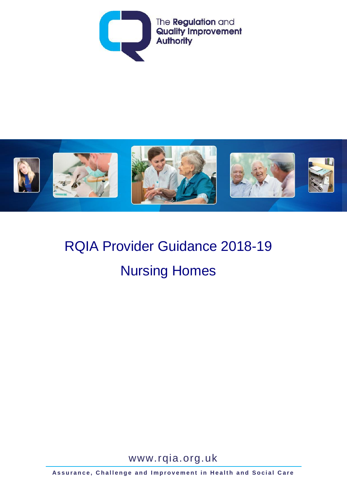



# RQIA Provider Guidance 2018-19 Nursing Homes

[www.rqia.org.uk](http://www.rqia.org.uk/)

**Assurance, Challenge and Improvement in Health and Social Care**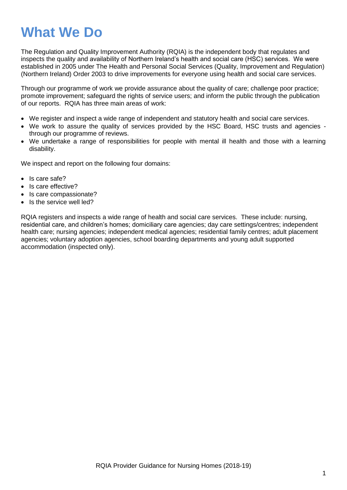## **What We Do**

The Regulation and Quality Improvement Authority (RQIA) is the independent body that regulates and inspects the quality and availability of Northern Ireland's health and social care (HSC) services. We were established in 2005 under The Health and Personal Social Services (Quality, Improvement and Regulation) (Northern Ireland) Order 2003 to drive improvements for everyone using health and social care services.

Through our programme of work we provide assurance about the quality of care; challenge poor practice; promote improvement; safeguard the rights of service users; and inform the public through the publication of our reports. RQIA has three main areas of work:

- We register and inspect a wide range of independent and statutory health and social care services.
- We work to assure the quality of services provided by the HSC Board, HSC trusts and agencies through our programme of reviews.
- We undertake a range of responsibilities for people with mental ill health and those with a learning disability.

We inspect and report on the following four domains:

- Is care safe?
- Is care effective?
- Is care compassionate?
- Is the service well led?

RQIA registers and inspects a wide range of health and social care services. These include: nursing, residential care, and children's homes; domiciliary care agencies; day care settings/centres; independent health care; nursing agencies; independent medical agencies; residential family centres; adult placement agencies; voluntary adoption agencies, school boarding departments and young adult supported accommodation (inspected only).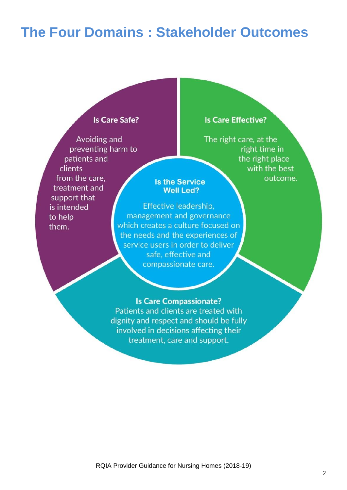## **The Four Domains : Stakeholder Outcomes**

#### **Is Care Safe?**

Avoiding and preventing harm to patients and clients from the care. treatment and support that is intended to help them.

#### **Is Care Effective?**

The right care, at the right time in the right place with the best outcome.

#### **Is the Service Well Led?**

Effective leadership, management and governance which creates a culture focused on the needs and the experiences of service users in order to deliver safe, effective and compassionate care.

#### **Is Care Compassionate?**

Patients and clients are treated with dignity and respect and should be fully involved in decisions affecting their treatment, care and support.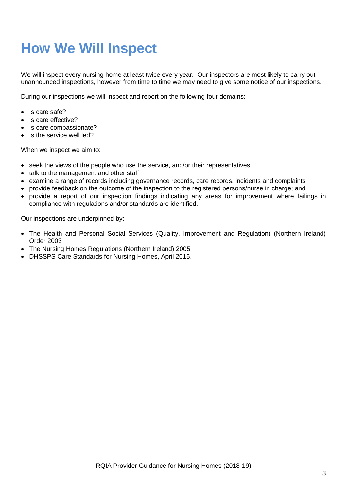## **How We Will Inspect**

We will inspect every nursing home at least twice every year. Our inspectors are most likely to carry out unannounced inspections, however from time to time we may need to give some notice of our inspections.

During our inspections we will inspect and report on the following four domains:

- Is care safe?
- Is care effective?
- Is care compassionate?
- Is the service well led?

When we inspect we aim to:

- seek the views of the people who use the service, and/or their representatives
- talk to the management and other staff
- examine a range of records including governance records, care records, incidents and complaints
- provide feedback on the outcome of the inspection to the registered persons/nurse in charge; and
- provide a report of our inspection findings indicating any areas for improvement where failings in compliance with regulations and/or standards are identified.

Our inspections are underpinned by:

- The Health and Personal Social Services (Quality, Improvement and Regulation) (Northern Ireland) Order 2003
- The Nursing Homes Regulations (Northern Ireland) 2005
- DHSSPS Care Standards for Nursing Homes, April 2015.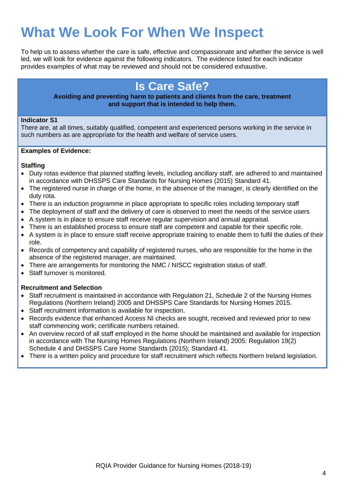## **What We Look For When We Inspect**

To help us to assess whether the care is safe, effective and compassionate and whether the service is well led, we will look for evidence against the following indicators. The evidence listed for each indicator provides examples of what may be reviewed and should not be considered exhaustive.

### **Is Care Safe?**

**Avoiding and preventing harm to patients and clients from the care, treatment and support that is intended to help them.**

#### **Indicator S1**

There are, at all times, suitably qualified, competent and experienced persons working in the service in such numbers as are appropriate for the health and welfare of service users.

#### **Examples of Evidence:**

#### **Staffing**

- Duty rotas evidence that planned staffing levels, including ancillary staff, are adhered to and maintained in accordance with DHSSPS Care Standards for Nursing Homes (2015) Standard 41.
- The registered nurse in charge of the home, in the absence of the manager, is clearly identified on the duty rota.
- There is an induction programme in place appropriate to specific roles including temporary staff
- The deployment of staff and the delivery of care is observed to meet the needs of the service users
- A system is in place to ensure staff receive regular supervision and annual appraisal.
- There is an established process to ensure staff are competent and capable for their specific role.
- A system is in place to ensure staff receive appropriate training to enable them to fulfil the duties of their role.
- Records of competency and capability of registered nurses, who are responsible for the home in the absence of the registered manager, are maintained.
- There are arrangements for monitoring the NMC / NISCC registration status of staff.
- Staff turnover is monitored.

#### **Recruitment and Selection**

- Staff recruitment is maintained in accordance with Regulation 21, Schedule 2 of the Nursing Homes Regulations (Northern Ireland) 2005 and DHSSPS Care Standards for Nursing Homes 2015.
- Staff recruitment information is available for inspection.
- Records evidence that enhanced Access NI checks are sought, received and reviewed prior to new staff commencing work; certificate numbers retained.
- An overview record of all staff employed in the home should be maintained and available for inspection in accordance with The Nursing Homes Regulations (Northern Ireland) 2005: Regulation 19(2) Schedule 4 and DHSSPS Care Home Standards (2015); Standard 41.
- There is a written policy and procedure for staff recruitment which reflects Northern Ireland legislation.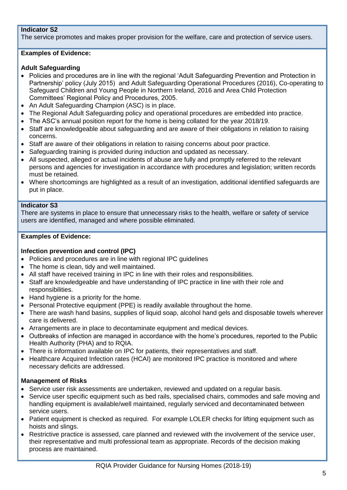#### **Indicator S2**

The service promotes and makes proper provision for the welfare, care and protection of service users.

#### **Examples of Evidence:**

#### **Adult Safeguarding**

- Policies and procedures are in line with the regional 'Adult Safeguarding Prevention and Protection in Partnership' policy (July 2015) and Adult Safeguarding Operational Procedures (2016), Co-operating to Safeguard Children and Young People in Northern Ireland, 2016 and Area Child Protection Committees' Regional Policy and Procedures, 2005.
- An Adult Safeguarding Champion (ASC) is in place.
- The Regional Adult Safeguarding policy and operational procedures are embedded into practice.
- The ASC's annual position report for the home is being collated for the year 2018/19.
- Staff are knowledgeable about safeguarding and are aware of their obligations in relation to raising concerns.
- Staff are aware of their obligations in relation to raising concerns about poor practice.
- Safeguarding training is provided during induction and updated as necessary.
- All suspected, alleged or actual incidents of abuse are fully and promptly referred to the relevant persons and agencies for investigation in accordance with procedures and legislation; written records must be retained.
- Where shortcomings are highlighted as a result of an investigation, additional identified safeguards are put in place.

#### **Indicator S3**

There are systems in place to ensure that unnecessary risks to the health, welfare or safety of service users are identified, managed and where possible eliminated.

#### **Examples of Evidence:**

#### **Infection prevention and control (IPC)**

- Policies and procedures are in line with regional IPC guidelines
- The home is clean, tidy and well maintained.
- All staff have received training in IPC in line with their roles and responsibilities.
- Staff are knowledgeable and have understanding of IPC practice in line with their role and responsibilities.
- Hand hygiene is a priority for the home.
- Personal Protective equipment (PPE) is readily available throughout the home.
- There are wash hand basins, supplies of liquid soap, alcohol hand gels and disposable towels wherever care is delivered.
- Arrangements are in place to decontaminate equipment and medical devices.
- Outbreaks of infection are managed in accordance with the home's procedures, reported to the Public Health Authority (PHA) and to RQIA.
- There is information available on IPC for patients, their representatives and staff.
- Healthcare Acquired Infection rates (HCAI) are monitored IPC practice is monitored and where necessary deficits are addressed.

#### **Management of Risks**

- Service user risk assessments are undertaken, reviewed and updated on a regular basis.
- Service user specific equipment such as bed rails, specialised chairs, commodes and safe moving and handling equipment is available/well maintained, regularly serviced and decontaminated between service users.
- Patient equipment is checked as required. For example LOLER checks for lifting equipment such as hoists and slings.
- Restrictive practice is assessed, care planned and reviewed with the involvement of the service user, their representative and multi professional team as appropriate. Records of the decision making process are maintained.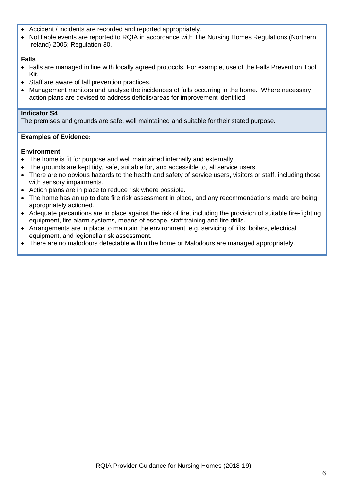- Accident / incidents are recorded and reported appropriately.
- Notifiable events are reported to RQIA in accordance with The Nursing Homes Regulations (Northern Ireland) 2005; Regulation 30.

#### **Falls**

- Falls are managed in line with locally agreed protocols. For example, use of the Falls Prevention Tool Kit.
- Staff are aware of fall prevention practices.
- Management monitors and analyse the incidences of falls occurring in the home. Where necessary action plans are devised to address deficits/areas for improvement identified.

#### **Indicator S4**

The premises and grounds are safe, well maintained and suitable for their stated purpose.

#### **Examples of Evidence:**

#### **Environment**

- The home is fit for purpose and well maintained internally and externally.
- The grounds are kept tidy, safe, suitable for, and accessible to, all service users.
- There are no obvious hazards to the health and safety of service users, visitors or staff, including those with sensory impairments.
- Action plans are in place to reduce risk where possible.
- The home has an up to date fire risk assessment in place, and any recommendations made are being appropriately actioned.
- Adequate precautions are in place against the risk of fire, including the provision of suitable fire-fighting equipment, fire alarm systems, means of escape, staff training and fire drills.
- Arrangements are in place to maintain the environment, e.g. servicing of lifts, boilers, electrical equipment, and legionella risk assessment.
- There are no malodours detectable within the home or Malodours are managed appropriately.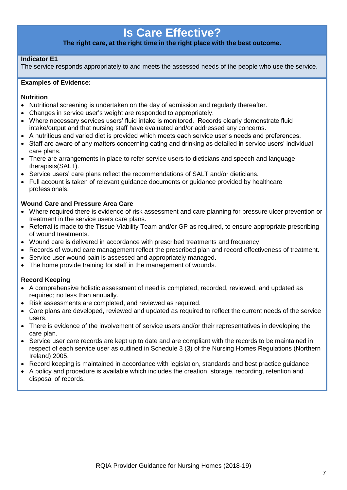### **Is Care Effective?**

#### **The right care, at the right time in the right place with the best outcome.**

#### **Indicator E1**

The service responds appropriately to and meets the assessed needs of the people who use the service.

#### **Examples of Evidence:**

#### **Nutrition**

- Nutritional screening is undertaken on the day of admission and regularly thereafter.
- Changes in service user's weight are responded to appropriately.
- Where necessary services users' fluid intake is monitored. Records clearly demonstrate fluid intake/output and that nursing staff have evaluated and/or addressed any concerns.
- A nutritious and varied diet is provided which meets each service user's needs and preferences.
- Staff are aware of any matters concerning eating and drinking as detailed in service users' individual care plans.
- There are arrangements in place to refer service users to dieticians and speech and language therapists(SALT).
- Service users' care plans reflect the recommendations of SALT and/or dieticians.
- Full account is taken of relevant guidance documents or guidance provided by healthcare professionals.

#### **Wound Care and Pressure Area Care**

- Where required there is evidence of risk assessment and care planning for pressure ulcer prevention or treatment in the service users care plans.
- Referral is made to the Tissue Viability Team and/or GP as required, to ensure appropriate prescribing of wound treatments.
- Wound care is delivered in accordance with prescribed treatments and frequency.
- Records of wound care management reflect the prescribed plan and record effectiveness of treatment.
- Service user wound pain is assessed and appropriately managed.
- The home provide training for staff in the management of wounds.

#### **Record Keeping**

- A comprehensive holistic assessment of need is completed, recorded, reviewed, and updated as required; no less than annually.
- Risk assessments are completed, and reviewed as required.
- Care plans are developed, reviewed and updated as required to reflect the current needs of the service users.
- There is evidence of the involvement of service users and/or their representatives in developing the care plan.
- Service user care records are kept up to date and are compliant with the records to be maintained in respect of each service user as outlined in Schedule 3 (3) of the Nursing Homes Regulations (Northern Ireland) 2005.
- Record keeping is maintained in accordance with legislation, standards and best practice guidance
- A policy and procedure is available which includes the creation, storage, recording, retention and disposal of records.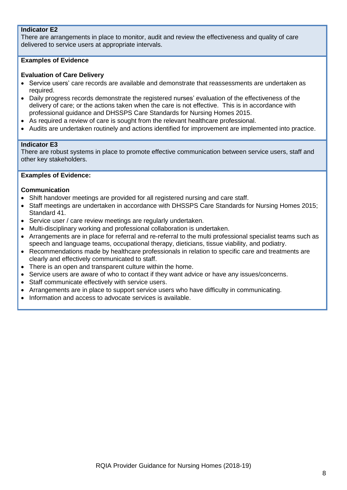#### **Indicator E2**

There are arrangements in place to monitor, audit and review the effectiveness and quality of care delivered to service users at appropriate intervals.

#### **Examples of Evidence**

#### **Evaluation of Care Delivery**

- Service users' care records are available and demonstrate that reassessments are undertaken as required.
- Daily progress records demonstrate the registered nurses' evaluation of the effectiveness of the delivery of care; or the actions taken when the care is not effective. This is in accordance with professional guidance and DHSSPS Care Standards for Nursing Homes 2015.
- As required a review of care is sought from the relevant healthcare professional.
- Audits are undertaken routinely and actions identified for improvement are implemented into practice.

#### **Indicator E3**

There are robust systems in place to promote effective communication between service users, staff and other key stakeholders.

#### **Examples of Evidence:**

#### **Communication**

- Shift handover meetings are provided for all registered nursing and care staff.
- Staff meetings are undertaken in accordance with DHSSPS Care Standards for Nursing Homes 2015; Standard 41.
- Service user / care review meetings are regularly undertaken.
- Multi-disciplinary working and professional collaboration is undertaken.
- Arrangements are in place for referral and re-referral to the multi professional specialist teams such as speech and language teams, occupational therapy, dieticians, tissue viability, and podiatry.
- Recommendations made by healthcare professionals in relation to specific care and treatments are clearly and effectively communicated to staff.
- There is an open and transparent culture within the home.
- Service users are aware of who to contact if they want advice or have any issues/concerns.
- Staff communicate effectively with service users.
- Arrangements are in place to support service users who have difficulty in communicating.
- Information and access to advocate services is available.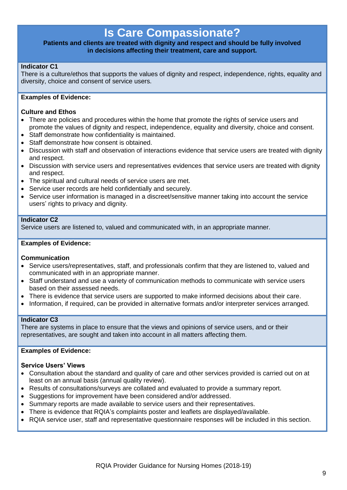### **Is Care Compassionate?**

#### **Patients and clients are treated with dignity and respect and should be fully involved in decisions affecting their treatment, care and support.**

#### **Indicator C1**

There is a culture/ethos that supports the values of dignity and respect, independence, rights, equality and diversity, choice and consent of service users.

#### **Examples of Evidence:**

#### **Culture and Ethos**

- There are policies and procedures within the home that promote the rights of service users and promote the values of dignity and respect, independence, equality and diversity, choice and consent.
- Staff demonstrate how confidentiality is maintained.
- Staff demonstrate how consent is obtained.
- Discussion with staff and observation of interactions evidence that service users are treated with dignity and respect.
- Discussion with service users and representatives evidences that service users are treated with dignity and respect.
- The spiritual and cultural needs of service users are met.
- Service user records are held confidentially and securely.
- Service user information is managed in a discreet/sensitive manner taking into account the service users' rights to privacy and dignity.

#### **Indicator C2**

Service users are listened to, valued and communicated with, in an appropriate manner.

#### **Examples of Evidence:**

#### **Communication**

- Service users/representatives, staff, and professionals confirm that they are listened to, valued and communicated with in an appropriate manner.
- Staff understand and use a variety of communication methods to communicate with service users based on their assessed needs.
- There is evidence that service users are supported to make informed decisions about their care.
- Information, if required, can be provided in alternative formats and/or interpreter services arranged.

#### **Indicator C3**

There are systems in place to ensure that the views and opinions of service users, and or their representatives, are sought and taken into account in all matters affecting them.

#### **Examples of Evidence:**

#### **Service Users' Views**

- Consultation about the standard and quality of care and other services provided is carried out on at least on an annual basis (annual quality review).
- Results of consultations/surveys are collated and evaluated to provide a summary report.
- Suggestions for improvement have been considered and/or addressed.
- Summary reports are made available to service users and their representatives.
- There is evidence that RQIA's complaints poster and leaflets are displayed/available.
- RQIA service user, staff and representative questionnaire responses will be included in this section.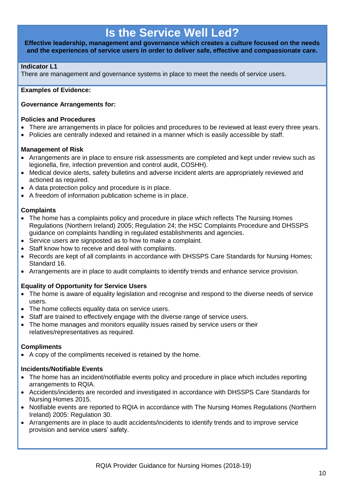### **Is the Service Well Led?**

**Effective leadership, management and governance which creates a culture focused on the needs and the experiences of service users in order to deliver safe, effective and compassionate care.**

#### **Indicator L1**

There are management and governance systems in place to meet the needs of service users.

#### **Examples of Evidence:**

#### **Governance Arrangements for:**

#### **Policies and Procedures**

- There are arrangements in place for policies and procedures to be reviewed at least every three years.
- Policies are centrally indexed and retained in a manner which is easily accessible by staff.

#### **Management of Risk**

- Arrangements are in place to ensure risk assessments are completed and kept under review such as legionella, fire, infection prevention and control audit, COSHH).
- Medical device alerts, safety bulletins and adverse incident alerts are appropriately reviewed and actioned as required.
- A data protection policy and procedure is in place.
- A freedom of information publication scheme is in place.

#### **Complaints**

- The home has a complaints policy and procedure in place which reflects The Nursing Homes Regulations (Northern Ireland) 2005; Regulation 24; the HSC Complaints Procedure and DHSSPS guidance on complaints handling in regulated establishments and agencies.
- Service users are signposted as to how to make a complaint.
- Staff know how to receive and deal with complaints.
- Records are kept of all complaints in accordance with DHSSPS Care Standards for Nursing Homes; Standard 16.
- Arrangements are in place to audit complaints to identify trends and enhance service provision.

#### **Equality of Opportunity for Service Users**

- The home is aware of equality legislation and recognise and respond to the diverse needs of service users.
- The home collects equality data on service users.
- Staff are trained to effectively engage with the diverse range of service users.
- The home manages and monitors equality issues raised by service users or their relatives/representatives as required.

#### **Compliments**

A copy of the compliments received is retained by the home.

#### **Incidents/Notifiable Events**

- The home has an incident/notifiable events policy and procedure in place which includes reporting arrangements to RQIA.
- Accidents/incidents are recorded and investigated in accordance with DHSSPS Care Standards for Nursing Homes 2015.
- Notifiable events are reported to RQIA in accordance with The Nursing Homes Regulations (Northern Ireland) 2005: Regulation 30.
- Arrangements are in place to audit accidents/incidents to identify trends and to improve service provision and service users' safety.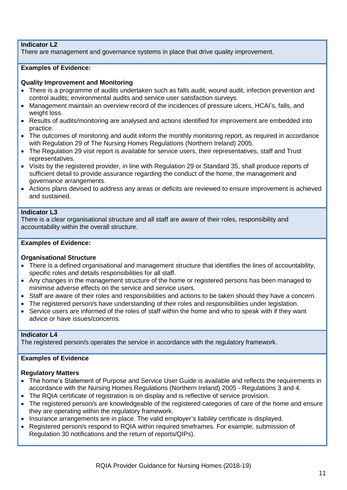#### **Indicator L2**

There are management and governance systems in place that drive quality improvement.

#### **Examples of Evidence:**

#### **Quality Improvement and Monitoring**

- There is a programme of audits undertaken such as falls audit, wound audit, infection prevention and control audits; environmental audits and service user satisfaction surveys.
- Management maintain an overview record of the incidences of pressure ulcers, HCAI's, falls, and weight loss.
- Results of audits/monitoring are analysed and actions identified for improvement are embedded into practice.
- The outcomes of monitoring and audit inform the monthly monitoring report, as required in accordance with Regulation 29 of The Nursing Homes Regulations (Northern Ireland) 2005.
- The Regulation 29 visit report is available for service users, their representatives, staff and Trust representatives.
- Visits by the registered provider, in line with Regulation 29 or Standard 35, shall produce reports of sufficient detail to provide assurance regarding the conduct of the home, the management and governance arrangements.
- Actions plans devised to address any areas or deficits are reviewed to ensure improvement is achieved and sustained.

#### **Indicator L3**

There is a clear organisational structure and all staff are aware of their roles, responsibility and accountability within the overall structure.

#### **Examples of Evidence:**

#### **Organisational Structure**

- There is a defined organisational and management structure that identifies the lines of accountability, specific roles and details responsibilities for all staff.
- Any changes in the management structure of the home or registered persons has been managed to minimise adverse effects on the service and service users.
- Staff are aware of their roles and responsibilities and actions to be taken should they have a concern.
- The registered person/s have understanding of their roles and responsibilities under legislation.
- Service users are informed of the roles of staff within the home and who to speak with if they want advice or have issues/concerns.

#### **Indicator L4**

The registered person/s operates the service in accordance with the regulatory framework.

#### **Examples of Evidence**

#### **Regulatory Matters**

- The home's Statement of Purpose and Service User Guide is available and reflects the requirements in accordance with the Nursing Homes Regulations (Northern Ireland) 2005 - Regulations 3 and 4.
- The RQIA certificate of registration is on display and is reflective of service provision.
- The registered person/s are knowledgeable of the registered categories of care of the home and ensure they are operating within the regulatory framework.
- Insurance arrangements are in place. The valid employer's liability certificate is displayed.
- Registered person/s respond to RQIA within required timeframes. For example, submission of Regulation 30 notifications and the return of reports/QIPs).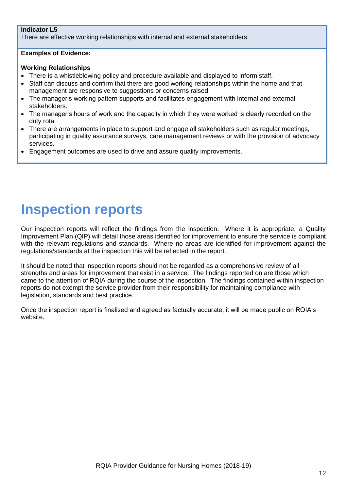#### **Indicator L5**

There are effective working relationships with internal and external stakeholders.

#### **Examples of Evidence:**

#### **Working Relationships**

- There is a whistleblowing policy and procedure available and displayed to inform staff.
- Staff can discuss and confirm that there are good working relationships within the home and that management are responsive to suggestions or concerns raised.
- The manager's working pattern supports and facilitates engagement with internal and external stakeholders.
- The manager's hours of work and the capacity in which they were worked is clearly recorded on the duty rota.
- There are arrangements in place to support and engage all stakeholders such as regular meetings, participating in quality assurance surveys, care management reviews or with the provision of advocacy services.
- Engagement outcomes are used to drive and assure quality improvements.

### **Inspection reports**

Our inspection reports will reflect the findings from the inspection. Where it is appropriate, a Quality Improvement Plan (QIP) will detail those areas identified for improvement to ensure the service is compliant with the relevant regulations and standards. Where no areas are identified for improvement against the regulations/standards at the inspection this will be reflected in the report.

It should be noted that inspection reports should not be regarded as a comprehensive review of all strengths and areas for improvement that exist in a service. The findings reported on are those which came to the attention of RQIA during the course of the inspection. The findings contained within inspection reports do not exempt the service provider from their responsibility for maintaining compliance with legislation, standards and best practice.

Once the inspection report is finalised and agreed as factually accurate, it will be made public on RQIA's website.